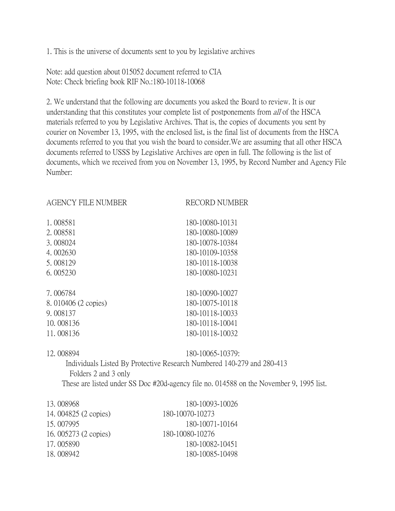1. This is the universe of documents sent to you by legislative archives

Note: add question about 015052 document referred to CIA Note: Check briefing book RIF No.:180-10118-10068

2. We understand that the following are documents you asked the Board to review. It is our understanding that this constitutes your complete list of postponements from *all* of the HSCA materials referred to you by Legislative Archives. That is, the copies of documents you sent by courier on November 13, 1995, with the enclosed list, is the final list of documents from the HSCA documents referred to you that you wish the board to consider.We are assuming that all other HSCA documents referred to USSS by Legislative Archives are open in full. The following is the list of documents, which we received from you on November 13, 1995, by Record Number and Agency File Number:

RECORD NUMBER

| 1.008581            | 180-10080-10131 |
|---------------------|-----------------|
| 2.008581            | 180-10080-10089 |
| 3.008024            | 180-10078-10384 |
| 4.002630            | 180-10109-10358 |
| 5.008129            | 180-10118-10038 |
| 6.005230            | 180-10080-10231 |
| 7.006784            | 180-10090-10027 |
| 8.010406 (2 copies) | 180-10075-10118 |
| 9.008137            | 180-10118-10033 |
| 10.008136           | 180-10118-10041 |
| 11.008136           | 180-10118-10032 |

12. 008894 180-10065-10379: Individuals Listed By Protective Research Numbered 140-279 and 280-413 Folders 2 and 3 only These are listed under SS Doc #20d-agency file no. 014588 on the November 9, 1995 list.

| 13.008968             | 180-10093-10026 |
|-----------------------|-----------------|
| 14. 004825 (2 copies) | 180-10070-10273 |
| 15,007995             | 180-10071-10164 |
| 16. 005273 (2 copies) | 180-10080-10276 |
| 17.005890             | 180-10082-10451 |
| 18.008942             | 180-10085-10498 |